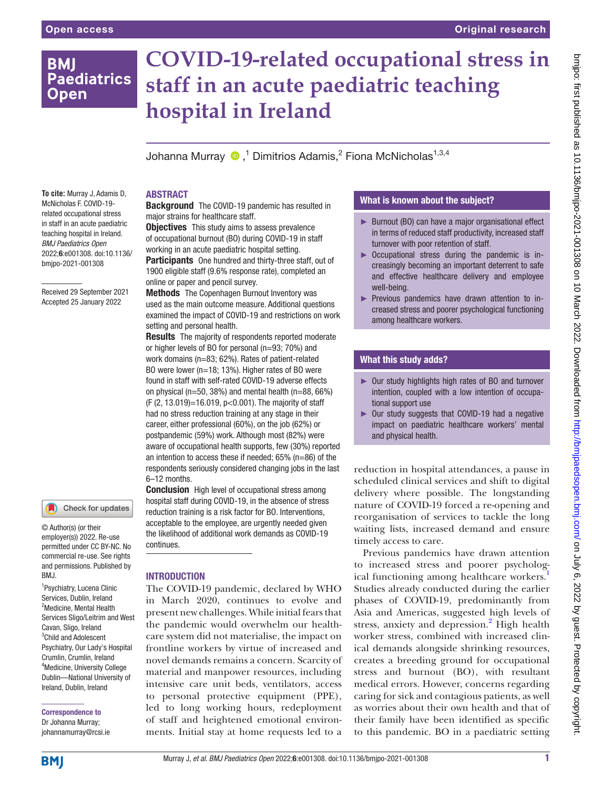# **BMI Paediatrics Open**

**To cite:** Murray J, Adamis D, McNicholas F. COVID-19 related occupational stress in staff in an acute paediatric teaching hospital in Ireland. *BMJ Paediatrics Open* 2022;6:e001308. doi:10.1136/ bmjpo-2021-001308

Received 29 September 2021 Accepted 25 January 2022

# **COVID-19-related occupational stress in staff in an acute paediatric teaching hospital in Ireland**

Johanna Murray  $\bigcirc$  ,<sup>1</sup> Dimitrios Adamis,<sup>2</sup> Fiona McNicholas<sup>1,3,4</sup>

# ABSTRACT

**Background** The COVID-19 pandemic has resulted in major strains for healthcare staff.

**Objectives** This study aims to assess prevalence of occupational burnout (BO) during COVID-19 in staff working in an acute paediatric hospital setting.

**Participants** One hundred and thirty-three staff, out of 1900 eligible staff (9.6% response rate), completed an online or paper and pencil survey.

**Methods** The Copenhagen Burnout Inventory was used as the main outcome measure. Additional questions examined the impact of COVID-19 and restrictions on work setting and personal health.

**Results** The majority of respondents reported moderate or higher levels of BO for personal (n=93; 70%) and work domains (n=83; 62%). Rates of patient-related BO were lower (n=18; 13%). Higher rates of BO were found in staff with self-rated COVID-19 adverse effects on physical ( $n=50$ , 38%) and mental health ( $n=88$ , 66%) (F (2, 13.019)=16.019, p<0.001). The majority of staff had no stress reduction training at any stage in their career, either professional (60%), on the job (62%) or postpandemic (59%) work. Although most (82%) were aware of occupational health supports, few (30%) reported an intention to access these if needed; 65% (n=86) of the respondents seriously considered changing jobs in the last 6–12 months.

**Conclusion** High level of occupational stress among hospital staff during COVID-19, in the absence of stress reduction training is a risk factor for BO. Interventions, acceptable to the employee, are urgently needed given the likelihood of additional work demands as COVID-19 continues.

# **INTRODUCTION**

The COVID-19 pandemic, declared by WHO in March 2020, continues to evolve and present new challenges. While initial fears that the pandemic would overwhelm our healthcare system did not materialise, the impact on frontline workers by virtue of increased and novel demands remains a concern. Scarcity of material and manpower resources, including intensive care unit beds, ventilators, access to personal protective equipment (PPE), led to long working hours, redeployment of staff and heightened emotional environments. Initial stay at home requests led to a

# What is known about the subject?

- ► Burnout (BO) can have a major organisational effect in terms of reduced staff productivity, increased staff turnover with poor retention of staff.
- ► Occupational stress during the pandemic is increasingly becoming an important deterrent to safe and effective healthcare delivery and employee well-being.
- ► Previous pandemics have drawn attention to increased stress and poorer psychological functioning among healthcare workers.

# What this study adds?

- ► Our study highlights high rates of BO and turnover intention, coupled with a low intention of occupational support use
- ► Our study suggests that COVID-19 had a negative impact on paediatric healthcare workers' mental and physical health.

reduction in hospital attendances, a pause in scheduled clinical services and shift to digital delivery where possible. The longstanding nature of COVID-19 forced a re-opening and reorganisation of services to tackle the long waiting lists, increased demand and ensure timely access to care.

Previous pandemics have drawn attention to increased stress and poorer psychological functioning among healthcare workers.<sup>1</sup> Studies already conducted during the earlier phases of COVID-19, predominantly from Asia and Americas, suggested high levels of stress, anxiety and depression.<sup>2</sup> High health worker stress, combined with increased clinical demands alongside shrinking resources, creates a breeding ground for occupational stress and burnout (BO), with resultant medical errors. However, concerns regarding caring for sick and contagious patients, as well as worries about their own health and that of their family have been identified as specific to this pandemic. BO in a paediatric setting

Correspondence to Dr Johanna Murray; johannamurray@rcsi.ie

1 Psychiatry, Lucena Clinic Services, Dublin, Ireland <sup>2</sup>Medicine, Mental Health Services Sligo/Leitrim and West Cavan, Sligo, Ireland 3 Child and Adolescent Psychiatry, Our Lady's Hospital Crumlin, Crumlin, Ireland 4 Medicine, University College Dublin—National University of Ireland, Dublin, Ireland

© Author(s) (or their employer(s)) 2022. Re-use permitted under CC BY-NC. No commercial re-use. See rights and permissions. Published by

Check for updates

BMJ.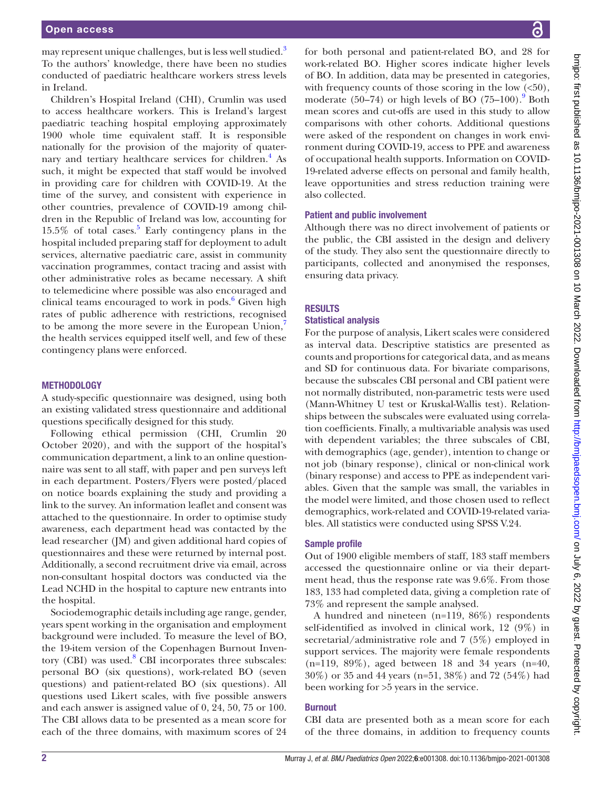may represent unique challenges, but is less well studied.<sup>3</sup> To the authors' knowledge, there have been no studies conducted of paediatric healthcare workers stress levels in Ireland.

Children's Hospital Ireland (CHI), Crumlin was used to access healthcare workers. This is Ireland's largest paediatric teaching hospital employing approximately 1900 whole time equivalent staff. It is responsible nationally for the provision of the majority of quaternary and tertiary healthcare services for children.<sup>4</sup> As such, it might be expected that staff would be involved in providing care for children with COVID-19. At the time of the survey, and consistent with experience in other countries, prevalence of COVID-19 among children in the Republic of Ireland was low, accounting for 15.5% of total cases.<sup>5</sup> Early contingency plans in the hospital included preparing staff for deployment to adult services, alternative paediatric care, assist in community vaccination programmes, contact tracing and assist with other administrative roles as became necessary. A shift to telemedicine where possible was also encouraged and clinical teams encouraged to work in pods.<sup>6</sup> Given high rates of public adherence with restrictions, recognised to be among the more severe in the European Union, the health services equipped itself well, and few of these contingency plans were enforced.

#### **METHODOLOGY**

A study-specific questionnaire was designed, using both an existing validated stress questionnaire and additional questions specifically designed for this study.

Following ethical permission (CHI, Crumlin 20 October 2020), and with the support of the hospital's communication department, a link to an online questionnaire was sent to all staff, with paper and pen surveys left in each department. Posters/Flyers were posted/placed on notice boards explaining the study and providing a link to the survey. An information leaflet and consent was attached to the questionnaire. In order to optimise study awareness, each department head was contacted by the lead researcher (JM) and given additional hard copies of questionnaires and these were returned by internal post. Additionally, a second recruitment drive via email, across non-consultant hospital doctors was conducted via the Lead NCHD in the hospital to capture new entrants into the hospital.

Sociodemographic details including age range, gender, years spent working in the organisation and employment background were included. To measure the level of BO, the 19-item version of the Copenhagen Burnout Inventory (CBI) was used.<sup>8</sup> CBI incorporates three subscales: personal BO (six questions), work-related BO (seven questions) and patient-related BO (six questions). All questions used Likert scales, with five possible answers and each answer is assigned value of 0, 24, 50, 75 or 100. The CBI allows data to be presented as a mean score for each of the three domains, with maximum scores of 24

for both personal and patient-related BO, and 28 for work-related BO. Higher scores indicate higher levels of BO. In addition, data may be presented in categories, with frequency counts of those scoring in the low  $(\leq 50)$ , moderate  $(50-74)$  or high levels of BO  $(75-100)$ . Both mean scores and cut-offs are used in this study to allow comparisons with other cohorts. Additional questions were asked of the respondent on changes in work environment during COVID-19, access to PPE and awareness of occupational health supports. Information on COVID-19-related adverse effects on personal and family health, leave opportunities and stress reduction training were also collected.

#### Patient and public involvement

Although there was no direct involvement of patients or the public, the CBI assisted in the design and delivery of the study. They also sent the questionnaire directly to participants, collected and anonymised the responses, ensuring data privacy.

#### RESULTS

#### Statistical analysis

For the purpose of analysis, Likert scales were considered as interval data. Descriptive statistics are presented as counts and proportions for categorical data, and as means and SD for continuous data. For bivariate comparisons, because the subscales CBI personal and CBI patient were not normally distributed, non-parametric tests were used (Mann-Whitney U test or Kruskal-Wallis test). Relationships between the subscales were evaluated using correlation coefficients. Finally, a multivariable analysis was used with dependent variables; the three subscales of CBI, with demographics (age, gender), intention to change or not job (binary response), clinical or non-clinical work (binary response) and access to PPE as independent variables. Given that the sample was small, the variables in the model were limited, and those chosen used to reflect demographics, work-related and COVID-19-related variables. All statistics were conducted using SPSS V.24.

#### Sample profile

Out of 1900 eligible members of staff, 183 staff members accessed the questionnaire online or via their department head, thus the response rate was 9.6%. From those 183, 133 had completed data, giving a completion rate of 73% and represent the sample analysed.

A hundred and nineteen (n=119, 86%) respondents self-identified as involved in clinical work, 12 (9%) in secretarial/administrative role and 7 (5%) employed in support services. The majority were female respondents  $(n=119, 89\%)$ , aged between 18 and 34 years  $(n=40,$ 30%) or 35 and 44 years (n=51, 38%) and 72 (54%) had been working for >5 years in the service.

#### Burnout

CBI data are presented both as a mean score for each of the three domains, in addition to frequency counts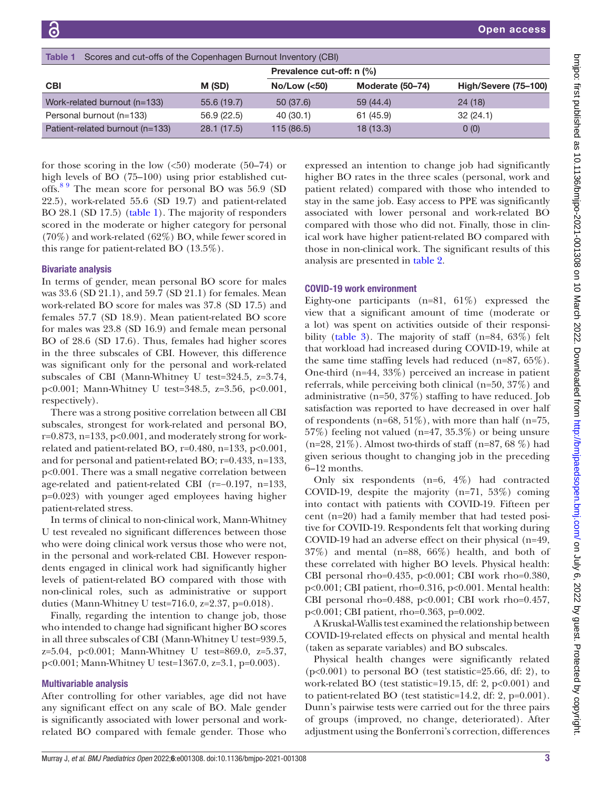<span id="page-2-0"></span>

| <b>Table 1</b><br>Scores and cut-offs of the Copenhagen Burnout Inventory (CBI) |            |                           |                  |                      |
|---------------------------------------------------------------------------------|------------|---------------------------|------------------|----------------------|
|                                                                                 |            | Prevalence cut-off: n (%) |                  |                      |
| <b>CBI</b>                                                                      | M (SD)     | No/Low (< 50)             | Moderate (50-74) | High/Severe (75-100) |
| Work-related burnout (n=133)                                                    | 55.6(19.7) | 50(37.6)                  | 59 (44.4)        | 24(18)               |
| Personal burnout (n=133)                                                        | 56.9(22.5) | 40 (30.1)                 | 61 (45.9)        | 32(24.1)             |
| Patient-related burnout (n=133)                                                 | 28.1(17.5) | 115(86.5)                 | 18(13.3)         | 0(0)                 |

for those scoring in the low  $\langle 50 \rangle$  moderate  $\langle 50 - 74 \rangle$  or high levels of BO (75–100) using prior established cutoffs.<sup>8 9</sup> The mean score for personal BO was 56.9 (SD 22.5), work-related 55.6 (SD 19.7) and patient-related BO 28.1 (SD 17.5) [\(table](#page-2-0) 1). The majority of responders scored in the moderate or higher category for personal (70%) and work-related (62%) BO, while fewer scored in this range for patient-related BO (13.5%).

#### Bivariate analysis

In terms of gender, mean personal BO score for males was 33.6 (SD 21.1), and 59.7 (SD 21.1) for females. Mean work-related BO score for males was 37.8 (SD 17.5) and females 57.7 (SD 18.9). Mean patient-related BO score for males was 23.8 (SD 16.9) and female mean personal BO of 28.6 (SD 17.6). Thus, females had higher scores in the three subscales of CBI. However, this difference was significant only for the personal and work-related subscales of CBI (Mann-Whitney U test=324.5, z=3.74, p<0.001; Mann-Whitney U test=348.5, z=3.56, p<0.001, respectively).

There was a strong positive correlation between all CBI subscales, strongest for work-related and personal BO,  $r=0.873$ , n=133, p<0.001, and moderately strong for workrelated and patient-related BO, r=0.480, n=133, p<0.001, and for personal and patient-related BO; r=0.433, n=133, p<0.001. There was a small negative correlation between age-related and patient-related CBI (r=−0.197, n=133, p=0.023) with younger aged employees having higher patient-related stress.

In terms of clinical to non-clinical work, Mann-Whitney U test revealed no significant differences between those who were doing clinical work versus those who were not, in the personal and work-related CBI. However respondents engaged in clinical work had significantly higher levels of patient-related BO compared with those with non-clinical roles, such as administrative or support duties (Mann-Whitney U test=716.0, z=2.37, p=0.018).

Finally, regarding the intention to change job, those who intended to change had significant higher BO scores in all three subscales of CBI (Mann-Whitney U test=939.5, z=5.04, p<0.001; Mann-Whitney U test=869.0, z=5.37, p<0.001; Mann-Whitney U test=1367.0, z=3.1, p=0.003).

#### Multivariable analysis

After controlling for other variables, age did not have any significant effect on any scale of BO. Male gender is significantly associated with lower personal and workrelated BO compared with female gender. Those who

expressed an intention to change job had significantly higher BO rates in the three scales (personal, work and patient related) compared with those who intended to stay in the same job. Easy access to PPE was significantly associated with lower personal and work-related BO compared with those who did not. Finally, those in clinical work have higher patient-related BO compared with those in non-clinical work. The significant results of this analysis are presented in [table](#page-3-0) 2.

#### COVID-19 work environment

Eighty-one participants  $(n=81, 61\%)$  expressed the view that a significant amount of time (moderate or a lot) was spent on activities outside of their responsibility [\(table](#page-3-1) 3). The majority of staff (n=84, 63%) felt that workload had increased during COVID-19, while at the same time staffing levels had reduced (n=87, 65%). One-third (n=44, 33%) perceived an increase in patient referrals, while perceiving both clinical (n=50, 37%) and administrative (n=50, 37%) staffing to have reduced. Job satisfaction was reported to have decreased in over half of respondents (n=68,  $51\%$ ), with more than half (n=75, 57%) feeling not valued (n=47, 35.3%) or being unsure  $(n=28, 21\%)$ . Almost two-thirds of staff  $(n=87, 68\%)$  had given serious thought to changing job in the preceding 6–12 months.

Only six respondents (n=6, 4%) had contracted COVID-19, despite the majority (n=71, 53%) coming into contact with patients with COVID-19. Fifteen per cent (n=20) had a family member that had tested positive for COVID-19. Respondents felt that working during COVID-19 had an adverse effect on their physical (n=49, 37%) and mental (n=88, 66%) health, and both of these correlated with higher BO levels. Physical health: CBI personal rho=0.435, p<0.001; CBI work rho=0.380, p<0.001; CBI patient, rho=0.316, p<0.001. Mental health: CBI personal rho=0.488, p<0.001; CBI work rho=0.457, p<0.001; CBI patient, rho=0.363, p=0.002.

A Kruskal-Wallis test examined the relationship between COVID-19-related effects on physical and mental health (taken as separate variables) and BO subscales.

Physical health changes were significantly related (p<0.001) to personal BO (test statistic=25.66, df: 2), to work-related BO (test statistic=19.15, df: 2, p<0.001) and to patient-related BO (test statistic=14.2, df: 2, p=0.001). Dunn's pairwise tests were carried out for the three pairs of groups (improved, no change, deteriorated). After adjustment using the Bonferroni's correction, differences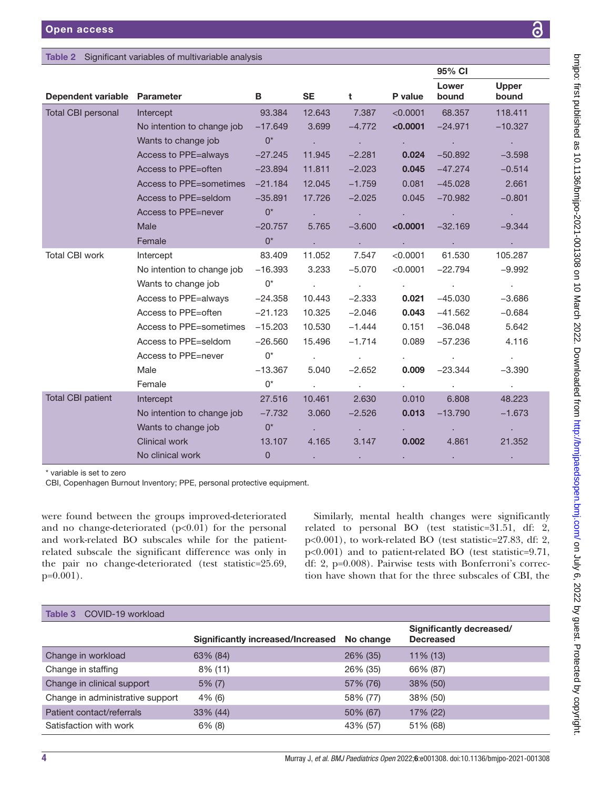<span id="page-3-0"></span>

| Table 2 Significant variables of multivariable analysis |  |
|---------------------------------------------------------|--|
|---------------------------------------------------------|--|

|                              |                                      |                |                              |                            |                             | JU 70 UI                    |                            |  |
|------------------------------|--------------------------------------|----------------|------------------------------|----------------------------|-----------------------------|-----------------------------|----------------------------|--|
| Dependent variable Parameter |                                      | B              | <b>SE</b>                    | t                          | P value                     | Lower<br>bound              | <b>Upper</b><br>bound      |  |
| Total CBI personal           | Intercept                            | 93.384         | 12.643                       | 7.387                      | < 0.0001                    | 68,357                      | 118,411                    |  |
|                              | No intention to change job           | $-17.649$      | 3.699                        | $-4.772$                   | < 0.0001                    | $-24.971$                   | $-10.327$                  |  |
|                              | Wants to change job                  | $0^*$          | $\mathcal{L}^{\text{max}}$   | $\sim 10^{-10}$            |                             | G.                          | $\sim$                     |  |
|                              | Access to PPE=always                 | $-27.245$      | 11.945                       | $-2.281$                   | 0.024                       | $-50.892$                   | $-3.598$                   |  |
|                              | Access to PPE=often                  | $-23.894$      | 11.811                       | $-2.023$                   | 0.045                       | $-47.274$                   | $-0.514$                   |  |
|                              | Access to PPE=sometimes              | $-21.184$      | 12.045                       | $-1.759$                   | 0.081                       | $-45.028$                   | 2.661                      |  |
|                              | Access to PPE=seldom                 | $-35.891$      | 17.726                       | $-2.025$                   | 0.045                       | $-70.982$                   | $-0.801$                   |  |
|                              | Access to PPE=never                  | $0^*$          | $\mathcal{L}(\mathcal{A})$ . | <b>Contract</b>            |                             | $\mathbf{r} = \mathbf{r}$   | $\mathbf{A}=\mathbf{0}$ .  |  |
|                              | <b>Male</b>                          | $-20.757$      | 5.765                        | $-3.600$                   | < 0.0001                    | $-32.169$                   | $-9.344$                   |  |
|                              | Female                               | $0^*$          | <b>Contract</b>              | <b>College</b>             | ä,                          | $\mathbf{r} = \mathbf{r}$ . | <b>College</b>             |  |
| Total CBI work               | Intercept                            | 83.409         | 11.052                       | 7.547                      | < 0.0001                    | 61.530                      | 105.287                    |  |
|                              | No intention to change job $-16.393$ |                | 3.233                        | $-5.070$                   | $<$ 0.0001                  | $-22.794$                   | $-9.992$                   |  |
|                              | Wants to change job                  | $0^*$          | $\mathcal{L}^{\text{max}}$   | <b>Contractor</b>          | $\mathbf{r} = \mathbf{r}$ . | <b>Contract</b>             | <b>College</b>             |  |
|                              | Access to PPE=always                 | -24.358        | 10.443                       | $-2.333$                   | 0.021                       | $-45.030$                   | $-3.686$                   |  |
|                              | Access to PPE=often                  | $-21.123$      | 10.325                       | $-2.046$                   | 0.043                       | $-41.562$                   | $-0.684$                   |  |
|                              | Access to PPE=sometimes -15.203      |                | 10.530                       | $-1.444$                   | 0.151                       | $-36.048$                   | 5.642                      |  |
|                              | Access to PPE=seldom                 | $-26.560$      | 15.496                       | $-1.714$                   | 0.089                       | $-57.236$                   | 4.116                      |  |
|                              | Access to PPE=never                  | $0^*$          | $\mathcal{L}^{\text{max}}$   | $\sim$ $\sim$              |                             | $\mathbf{r} = \mathbf{r}$   | $\mathcal{L}^{\text{max}}$ |  |
|                              | Male                                 | $-13.367$      | 5.040                        | $-2.652$                   | 0.009                       | $-23.344$                   | $-3.390$                   |  |
|                              | Female                               | $0^*$          | $\mathbf{r}$                 | $\mathcal{L}^{\text{max}}$ |                             | $\mathbf{r} = \mathbf{r}$   | $\mathbf{L}^{\text{max}}$  |  |
| <b>Total CBI patient</b>     | Intercept                            | 27,516         | 10.461                       | 2.630                      | 0.010                       | 6,808                       | 48.223                     |  |
|                              | No intention to change job           | $-7.732$       | 3.060                        | $-2.526$                   | 0.013                       | $-13.790$                   | $-1.673$                   |  |
|                              | Wants to change job                  | $0^*$          |                              | $\epsilon$                 |                             | ×.                          | $\mathcal{L}^{\pm}$        |  |
|                              | Clinical work                        | 13.107         | 4.165                        | 3.147                      | 0.002                       | 4.861                       | 21.352                     |  |
|                              | No clinical work                     | $\overline{0}$ |                              |                            |                             |                             |                            |  |

\* variable is set to zero

CBI, Copenhagen Burnout Inventory; PPE, personal protective equipment.

were found between the groups improved-deteriorated and no change-deteriorated  $(p<0.01)$  for the personal and work-related BO subscales while for the patientrelated subscale the significant difference was only in the pair no change-deteriorated (test statistic=25.69, p=0.001).

Similarly, mental health changes were significantly related to personal BO (test statistic=31.51, df: 2, p<0.001), to work-related BO (test statistic=27.83, df: 2, p<0.001) and to patient-related BO (test statistic=9.71, df: 2, p=0.008). Pairwise tests with Bonferroni's correction have shown that for the three subscales of CBI, the

<span id="page-3-1"></span>

| COVID-19 workload<br>Table 3     |                                   |           |                                              |
|----------------------------------|-----------------------------------|-----------|----------------------------------------------|
|                                  | Significantly increased/Increased | No change | Significantly decreased/<br><b>Decreased</b> |
| Change in workload               | 63% (84)                          | 26% (35)  | $11\%$ (13)                                  |
| Change in staffing               | 8% (11)                           | 26% (35)  | 66% (87)                                     |
| Change in clinical support       | $5\%$ (7)                         | 57% (76)  | $38\%$ (50)                                  |
| Change in administrative support | $4\%$ (6)                         | 58% (77)  | 38% (50)                                     |
| Patient contact/referrals        | $33\%$ (44)                       | 50% (67)  | 17% (22)                                     |
| Satisfaction with work           | $6\%$ (8)                         | 43% (57)  | 51% (68)                                     |

95% CI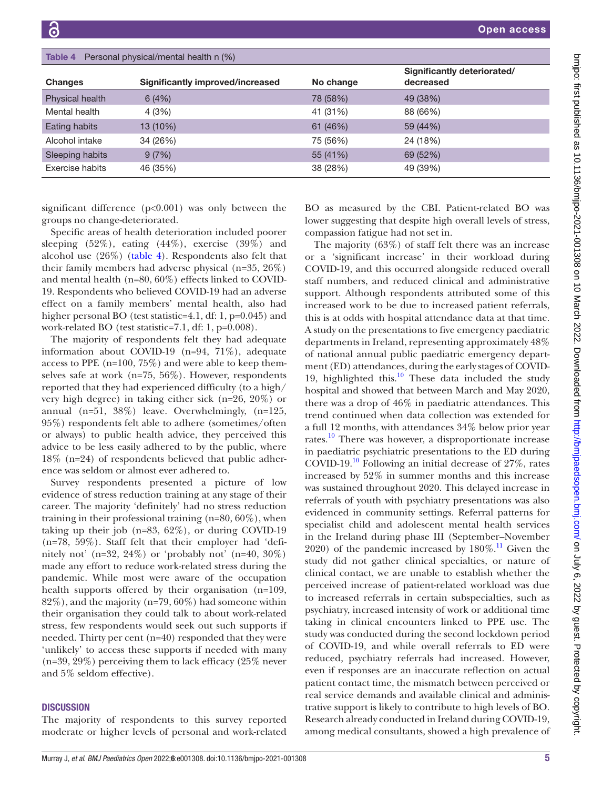<span id="page-4-0"></span>

| Personal physical/mental health n (%)<br>Table 4 |                                  |           |                                          |  |
|--------------------------------------------------|----------------------------------|-----------|------------------------------------------|--|
| Changes                                          | Significantly improved/increased | No change | Significantly deteriorated/<br>decreased |  |
| Physical health                                  | 6(4%)                            | 78 (58%)  | 49 (38%)                                 |  |
| Mental health                                    | 4 (3%)                           | 41 (31%)  | 88 (66%)                                 |  |
| Eating habits                                    | 13 (10%)                         | 61 (46%)  | 59 (44%)                                 |  |
| Alcohol intake                                   | 34 (26%)                         | 75 (56%)  | 24 (18%)                                 |  |
| Sleeping habits                                  | 9(7%)                            | 55 (41%)  | 69 (52%)                                 |  |
| Exercise habits                                  | 46 (35%)                         | 38 (28%)  | 49 (39%)                                 |  |

significant difference (p<0.001) was only between the groups no change-deteriorated.

Specific areas of health deterioration included poorer sleeping (52%), eating (44%), exercise (39%) and alcohol use (26%) [\(table](#page-4-0) 4). Respondents also felt that their family members had adverse physical (n=35, 26%) and mental health (n=80, 60%) effects linked to COVID-19. Respondents who believed COVID-19 had an adverse effect on a family members' mental health, also had higher personal BO (test statistic=4.1, df: 1, p=0.045) and work-related BO (test statistic=7.1, df: 1, p=0.008).

The majority of respondents felt they had adequate information about COVID-19 (n=94, 71%), adequate access to PPE (n=100, 75%) and were able to keep themselves safe at work (n=75, 56%). However, respondents reported that they had experienced difficulty (to a high/ very high degree) in taking either sick (n=26, 20%) or annual (n=51, 38%) leave. Overwhelmingly, (n=125, 95%) respondents felt able to adhere (sometimes/often or always) to public health advice, they perceived this advice to be less easily adhered to by the public, where 18% (n=24) of respondents believed that public adherence was seldom or almost ever adhered to.

Survey respondents presented a picture of low evidence of stress reduction training at any stage of their career. The majority 'definitely' had no stress reduction training in their professional training (n=80, 60%), when taking up their job (n=83, 62%), or during COVID-19 (n=78, 59%). Staff felt that their employer had 'definitely not' (n=32, 24%) or 'probably not' (n=40,  $30\%$ ) made any effort to reduce work-related stress during the pandemic. While most were aware of the occupation health supports offered by their organisation (n=109, 82%), and the majority (n=79, 60%) had someone within their organisation they could talk to about work-related stress, few respondents would seek out such supports if needed. Thirty per cent (n=40) responded that they were 'unlikely' to access these supports if needed with many (n=39, 29%) perceiving them to lack efficacy (25% never and 5% seldom effective).

#### **DISCUSSION**

The majority of respondents to this survey reported moderate or higher levels of personal and work-related

BO as measured by the CBI. Patient-related BO was lower suggesting that despite high overall levels of stress, compassion fatigue had not set in.

The majority (63%) of staff felt there was an increase or a 'significant increase' in their workload during COVID-19, and this occurred alongside reduced overall staff numbers, and reduced clinical and administrative support. Although respondents attributed some of this increased work to be due to increased patient referrals, this is at odds with hospital attendance data at that time. A study on the presentations to five emergency paediatric departments in Ireland, representing approximately 48% of national annual public paediatric emergency department (ED) attendances, during the early stages of COVID-19, highlighted this. $10$  These data included the study hospital and showed that between March and May 2020, there was a drop of 46% in paediatric attendances. This trend continued when data collection was extended for a full 12 months, with attendances 34% below prior year rates.<sup>10</sup> There was however, a disproportionate increase in paediatric psychiatric presentations to the ED during COVID-19.<sup>10</sup> Following an initial decrease of  $27\%$ , rates increased by 52% in summer months and this increase was sustained throughout 2020. This delayed increase in referrals of youth with psychiatry presentations was also evidenced in community settings. Referral patterns for specialist child and adolescent mental health services in the Ireland during phase III (September–November 2020) of the pandemic increased by  $180\%$ .<sup>[11](#page-6-2)</sup> Given the study did not gather clinical specialties, or nature of clinical contact, we are unable to establish whether the perceived increase of patient-related workload was due to increased referrals in certain subspecialties, such as psychiatry, increased intensity of work or additional time taking in clinical encounters linked to PPE use. The study was conducted during the second lockdown period of COVID-19, and while overall referrals to ED were reduced, psychiatry referrals had increased. However, even if responses are an inaccurate reflection on actual patient contact time, the mismatch between perceived or real service demands and available clinical and administrative support is likely to contribute to high levels of BO. Research already conducted in Ireland during COVID-19, among medical consultants, showed a high prevalence of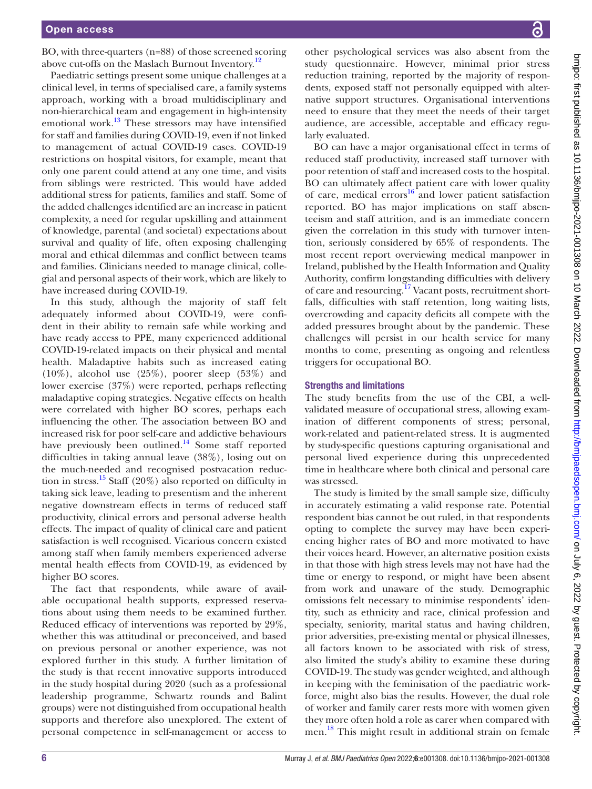BO, with three-quarters (n=88) of those screened scoring above cut-offs on the Maslach Burnout Inventory.<sup>12</sup>

Paediatric settings present some unique challenges at a clinical level, in terms of specialised care, a family systems approach, working with a broad multidisciplinary and non-hierarchical team and engagement in high-intensity emotional work. $^{13}$  $^{13}$  $^{13}$  These stressors may have intensified for staff and families during COVID-19, even if not linked to management of actual COVID-19 cases. COVID-19 restrictions on hospital visitors, for example, meant that only one parent could attend at any one time, and visits from siblings were restricted. This would have added additional stress for patients, families and staff. Some of the added challenges identified are an increase in patient complexity, a need for regular upskilling and attainment of knowledge, parental (and societal) expectations about survival and quality of life, often exposing challenging moral and ethical dilemmas and conflict between teams and families. Clinicians needed to manage clinical, collegial and personal aspects of their work, which are likely to have increased during COVID-19.

In this study, although the majority of staff felt adequately informed about COVID-19, were confident in their ability to remain safe while working and have ready access to PPE, many experienced additional COVID-19-related impacts on their physical and mental health. Maladaptive habits such as increased eating (10%), alcohol use (25%), poorer sleep (53%) and lower exercise (37%) were reported, perhaps reflecting maladaptive coping strategies. Negative effects on health were correlated with higher BO scores, perhaps each influencing the other. The association between BO and increased risk for poor self-care and addictive behaviours have previously been outlined.<sup>14</sup> Some staff reported difficulties in taking annual leave (38%), losing out on the much-needed and recognised postvacation reduction in stress.<sup>15</sup> Staff (20%) also reported on difficulty in taking sick leave, leading to presentism and the inherent negative downstream effects in terms of reduced staff productivity, clinical errors and personal adverse health effects. The impact of quality of clinical care and patient satisfaction is well recognised. Vicarious concern existed among staff when family members experienced adverse mental health effects from COVID-19, as evidenced by higher BO scores.

The fact that respondents, while aware of available occupational health supports, expressed reservations about using them needs to be examined further. Reduced efficacy of interventions was reported by 29%, whether this was attitudinal or preconceived, and based on previous personal or another experience, was not explored further in this study. A further limitation of the study is that recent innovative supports introduced in the study hospital during 2020 (such as a professional leadership programme, Schwartz rounds and Balint groups) were not distinguished from occupational health supports and therefore also unexplored. The extent of personal competence in self-management or access to

other psychological services was also absent from the study questionnaire. However, minimal prior stress reduction training, reported by the majority of respondents, exposed staff not personally equipped with alternative support structures. Organisational interventions need to ensure that they meet the needs of their target audience, are accessible, acceptable and efficacy regularly evaluated.

BO can have a major organisational effect in terms of reduced staff productivity, increased staff turnover with poor retention of staff and increased costs to the hospital. BO can ultimately affect patient care with lower quality of care, medical errors $^{16}$  and lower patient satisfaction reported. BO has major implications on staff absenteeism and staff attrition, and is an immediate concern given the correlation in this study with turnover intention, seriously considered by 65% of respondents. The most recent report overviewing medical manpower in Ireland, published by the Health Information and Quality Authority, confirm longstanding difficulties with delivery of care and resourcing.<sup>17</sup> Vacant posts, recruitment shortfalls, difficulties with staff retention, long waiting lists, overcrowding and capacity deficits all compete with the added pressures brought about by the pandemic. These challenges will persist in our health service for many months to come, presenting as ongoing and relentless triggers for occupational BO.

### Strengths and limitations

The study benefits from the use of the CBI, a wellvalidated measure of occupational stress, allowing examination of different components of stress; personal, work-related and patient-related stress. It is augmented by study-specific questions capturing organisational and personal lived experience during this unprecedented time in healthcare where both clinical and personal care was stressed.

The study is limited by the small sample size, difficulty in accurately estimating a valid response rate. Potential respondent bias cannot be out ruled, in that respondents opting to complete the survey may have been experiencing higher rates of BO and more motivated to have their voices heard. However, an alternative position exists in that those with high stress levels may not have had the time or energy to respond, or might have been absent from work and unaware of the study. Demographic omissions felt necessary to minimise respondents' identity, such as ethnicity and race, clinical profession and specialty, seniority, marital status and having children, prior adversities, pre-existing mental or physical illnesses, all factors known to be associated with risk of stress, also limited the study's ability to examine these during COVID-19. The study was gender weighted, and although in keeping with the feminisation of the paediatric workforce, might also bias the results. However, the dual role of worker and family carer rests more with women given they more often hold a role as carer when compared with men. [18](#page-6-9) This might result in additional strain on female